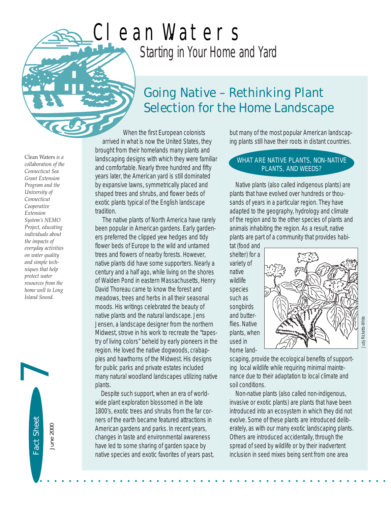# *Starting in Your Home and Yard* Clean Waters

## *Going Native – Rethinking Plant Selection for the Home Landscape*

Clean Waters *is a collaboration of the Connecticut Sea Grant Extension Program and the University of Connecticut Cooperative Extension System's NEMO Project, educating individuals about the impacts of everyday activities on water quality and simple techniques that help protect water resources from the home well to Long Island Sound.* 

Fact Sheet

Fact Sheet

June 2000

June 2000

 $\overline{\phantom{a}}$ 

When the first European colonists arrived in what is now the United States, they brought from their homelands many plants and landscaping designs with which they were familiar and comfortable. Nearly three hundred and fifty years later, the American yard is still dominated by expansive lawns, symmetrically placed and shaped trees and shrubs, and flower beds of exotic plants typical of the English landscape tradition.

The native plants of North America have rarely been popular in American gardens. Early gardeners preferred the clipped yew hedges and tidy flower beds of Europe to the wild and untamed trees and flowers of nearby forests. However, native plants did have some supporters. Nearly a century and a half ago, while living on the shores of Walden Pond in eastern Massachusetts, Henry David Thoreau came to know the forest and meadows, trees and herbs in all their seasonal moods. His writings celebrated the beauty of native plants and the natural landscape. Jens Jensen, a landscape designer from the northern Midwest, strove in his work to recreate the "tapestry of living colors" beheld by early pioneers in the region. He loved the native dogwoods, crabapples and hawthorns of the Midwest. His designs for public parks and private estates included many natural woodland landscapes utilizing native plants.

Despite such support, when an era of worldwide plant exploration blossomed in the late 1800's, exotic trees and shrubs from the far corners of the earth became featured attractions in American gardens and parks. In recent years, changes in taste and environmental awareness have led to some sharing of garden space by native species and exotic favorites of years past, but many of the most popular American landscaping plants still have their roots in distant countries.

#### WHAT ARE NATIVE PLANTS, NON-NATIVE PLANTS, AND WEEDS?

Native plants (also called indigenous plants) are plants that have evolved over hundreds or thousands of years in a particular region. They have adapted to the geography, hydrology and climate of the region and to the other species of plants and animals inhabiting the region. As a result, native plants are part of a community that provides habi-

tat (food and shelter) for a variety of native wildlife species such as songbirds and butterflies. Native plants, when used in home land-

• • • • • • • • • • • • • • • • • • • • • • • • • • • • • • • • • • • • • • • • • • • • • • • •



scaping, provide the ecological benefits of supporting local wildlife while requiring minimal maintenance due to their adaptation to local climate and soil conditions.

Non-native plants (also called non-indigenous, invasive or exotic plants) are plants that have been introduced into an ecosystem in which they did not evolve. Some of these plants are introduced deliberately, as with our many exotic landscaping plants. Others are introduced accidentally, through the spread of seed by wildlife or by their inadvertent inclusion in seed mixes being sent from one area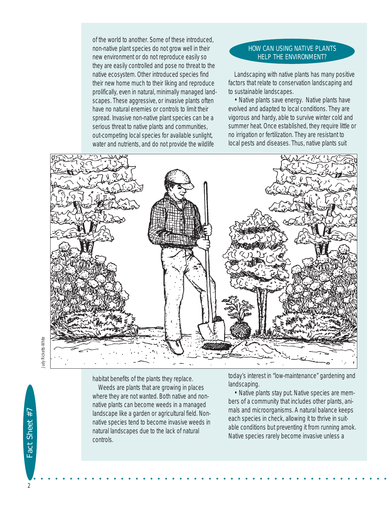of the world to another. Some of these introduced, non-native plant species do not grow well in their new environment or do not reproduce easily so they are easily controlled and pose no threat to the native ecosystem. Other introduced species find their new home much to their liking and reproduce prolifically, even in natural, minimally managed landscapes. These aggressive, or invasive plants often have no natural enemies or controls to limit their spread. Invasive non-native plant species can be a serious threat to native plants and communities, out-competing local species for available sunlight, water and nutrients, and do not provide the wildlife

#### HOW CAN USING NATIVE PLANTS HELP THE ENVIRONMENT?

Landscaping with native plants has many positive factors that relate to conservation landscaping and to sustainable landscapes.

• Native plants save energy. Native plants have evolved and adapted to local conditions. They are vigorous and hardy, able to survive winter cold and summer heat. Once established, they require little or no irrigation or fertilization. They are resistant to local pests and diseases. Thus, native plants suit



• • • • • • • • • • • • • • • • • • • • • • • • • • • • • • • • • • • • • • • • • • • • • • • • •

Judy Ricketts-White Judy Ricketts-White

> habitat benefits of the plants they replace. Weeds are plants that are growing in places where they are not wanted. Both native and nonnative plants can become weeds in a managed landscape like a garden or agricultural field. Nonnative species tend to become invasive weeds in natural landscapes due to the lack of natural controls.

today's interest in "low-maintenance" gardening and landscaping.

• Native plants stay put. Native species are members of a community that includes other plants, animals and microorganisms. A natural balance keeps each species in check, allowing it to thrive in suitable conditions but preventing it from running amok. Native species rarely become invasive unless a

Fact Sheet #7 Fact Sheet #7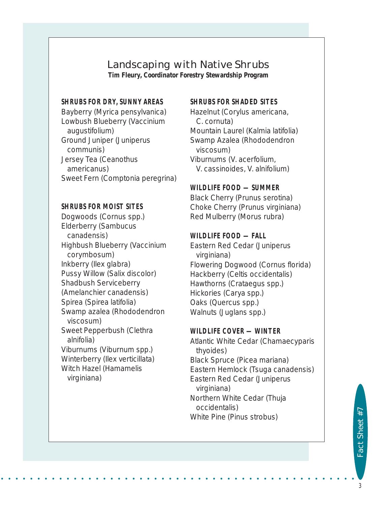### Landscaping with Native Shrubs

**Tim Fleury, Coordinator Forestry Stewardship Program**

#### **SHRUBS FOR DRY, SUNNY AREAS**

Bayberry (*Myrica pensylvanica*) Lowbush Blueberry (*Vaccinium augustifolium*) Ground Juniper (*Juniperus communis*) Jersey Tea (*Ceanothus americanus*) Sweet Fern (*Comptonia peregrina*)

#### **SHRUBS FOR MOIST SITES**

Dogwoods (*Cornus spp.*) Elderberry (*Sambucus canadensis*) Highbush Blueberry (*Vaccinium corymbosum*) Inkberry (*Ilex glabra*) Pussy Willow (*Salix discolor*) Shadbush Serviceberry (*Amelanchier canadensis*) Spirea (*Spirea latifolia*) Swamp azalea (*Rhododendron viscosum*) Sweet Pepperbush (*Clethra alnifolia*) Viburnums (*Viburnum spp.*) Winterberry (*Ilex verticillata*) Witch Hazel (*Hamamelis virginiana*)

#### **SHRUBS FOR SHADED SITES**

Hazelnut (*Corylus americana, C. cornuta*) Mountain Laurel (*Kalmia latifolia*) Swamp Azalea (*Rhododendron viscosum*) Viburnums (*V. acerfolium, V. cassinoides, V. alnifolium*)

#### **WILDLIFE FOOD — SUMMER**

Black Cherry (*Prunus serotina*) Choke Cherry (*Prunus virginiana*) Red Mulberry (*Morus rubra*)

#### **WILDLIFE FOOD — FALL**

Eastern Red Cedar (*Juniperus virginiana*) Flowering Dogwood (*Cornus florida*) Hackberry (*Celtis occidentalis)* Hawthorns (*Crataegus spp.*) Hickories (*Carya spp.*) Oaks (*Quercus spp.*) Walnuts (*Juglans spp.*)

#### **WILDLIFE COVER — WINTER**

• • • • • • • • • • • • • • • • • • • • • • • • • • • • • • • • • • • • • • • • • • • • • • • • •

Atlantic White Cedar (*Chamaecyparis thyoides*) Black Spruce (*Picea mariana*) Eastern Hemlock (*Tsuga canadensis*) Eastern Red Cedar (*Juniperus virginiana*) Northern White Cedar (*Thuja occidentalis*) White Pine (*Pinus strobus*)

3